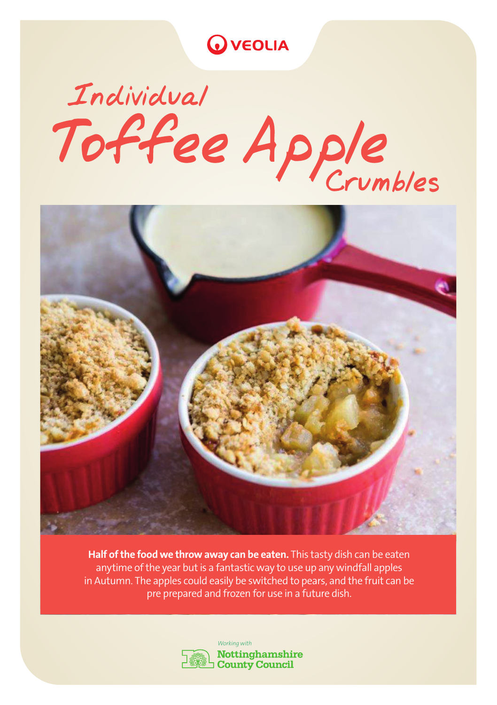**WEOLIA** 

## Individual Individual<br>Toffee Apple



Half of the food we throw away can be eaten. This tasty dish can be eaten anytime of the year but is a fantastic way to use up any windfall apples in Autumn. The apples could easily be switched to pears, and the fruit can be pre prepared and frozen for use in a future dish.